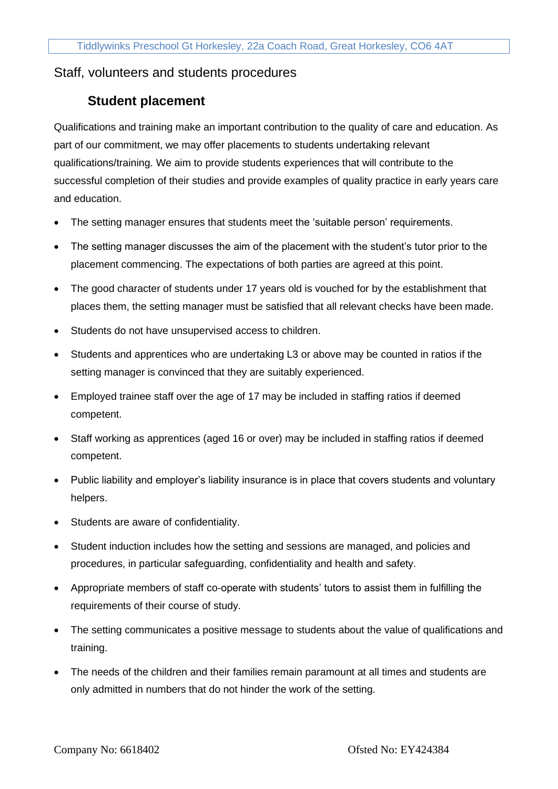## Staff, volunteers and students procedures

## **Student placement**

Qualifications and training make an important contribution to the quality of care and education. As part of our commitment, we may offer placements to students undertaking relevant qualifications/training. We aim to provide students experiences that will contribute to the successful completion of their studies and provide examples of quality practice in early years care and education.

- The setting manager ensures that students meet the 'suitable person' requirements.
- The setting manager discusses the aim of the placement with the student's tutor prior to the placement commencing. The expectations of both parties are agreed at this point.
- The good character of students under 17 years old is vouched for by the establishment that places them, the setting manager must be satisfied that all relevant checks have been made.
- Students do not have unsupervised access to children.
- Students and apprentices who are undertaking L3 or above may be counted in ratios if the setting manager is convinced that they are suitably experienced.
- Employed trainee staff over the age of 17 may be included in staffing ratios if deemed competent.
- Staff working as apprentices (aged 16 or over) may be included in staffing ratios if deemed competent.
- Public liability and employer's liability insurance is in place that covers students and voluntary helpers.
- Students are aware of confidentiality.
- Student induction includes how the setting and sessions are managed, and policies and procedures, in particular safeguarding, confidentiality and health and safety.
- Appropriate members of staff co-operate with students' tutors to assist them in fulfilling the requirements of their course of study.
- The setting communicates a positive message to students about the value of qualifications and training.
- The needs of the children and their families remain paramount at all times and students are only admitted in numbers that do not hinder the work of the setting.